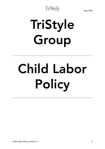## TriStyle

# TriStyle Group

# Child Labor Policy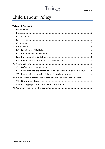## TriStyle

### Child Labour Policy

#### Table of Content

| $\mathsf{L}$ |      |                                                                          |  |
|--------------|------|--------------------------------------------------------------------------|--|
| Ш.           |      |                                                                          |  |
|              |      |                                                                          |  |
|              | II2. |                                                                          |  |
| III.         |      |                                                                          |  |
|              |      |                                                                          |  |
|              |      |                                                                          |  |
|              |      |                                                                          |  |
|              |      |                                                                          |  |
|              |      |                                                                          |  |
|              |      |                                                                          |  |
|              |      |                                                                          |  |
|              |      | VI2. Protection and prevention of Young Labourers from abusive labour  6 |  |
|              |      | VI3. Remediation actions for violated Young Labour rules 6               |  |
|              |      |                                                                          |  |
|              |      |                                                                          |  |
|              |      |                                                                          |  |
|              |      |                                                                          |  |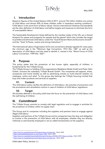#### <span id="page-2-0"></span>I. Introduction

Based on figures of the United Nations (UN) of 2017, around 152 million children are victims of child labour and almost 50% of these children suffer in hazardous working conditions<sup>1</sup>. Child labour is the worst form of labour abuse. Various international initiatives and standards set the clear definition of child labour and define targets and measures to eliminate this form of unacceptable labour.

The Sustainable Development Goals defined by the member states of the UN, are a shared blueprint for peace and prosperity for people and the planet<sup>2</sup> which also includes the target to prohibit and eliminate child labour under the "Goal 8 Decent Work and Economic Growth" and the "Goal 16 Peace, Justice and strong Institutions" 3 .

The International Labour Organisation (ILO) core conventions already regulate for many years the minimum age in the "Minimum Age Convention, 1973 (No. 138)" as well as the description of child labour and the need to abolish it, named in the "Worst Forms of Child Labour Convention, 1999 (No. 182)<sup>4</sup>".

#### <span id="page-2-1"></span>II. Purpose

This policy states that the protection of the human rights, especially of children, is fundamental for the TriStyle Group.

The TriStyle Group is a holding of the organizations Madeleine Mode GmbH and Peter Hahn GmbH, inclusive the subsidiary TriStyle Brands GmbH. The companies sell apparel, shoes, accessories and home textiles as well as advertising articles as multi-channel retailers via catalogue, online and retail. To the group also belongs the TriStyle Sourcing Limited that buys and orders products and services at suppliers.

#### II1. Content

<span id="page-2-2"></span>This child labour policy clarifies the definition of child labour, the activities of prevention and the procedures and remediation actions in case of violation of child labour regulations.

#### II2. Target

<span id="page-2-3"></span>All activities defined in this policy shall have the focus on the prevention of child labour and the well-being of children.

#### <span id="page-2-4"></span>**III. Commitment**

The TriStyle Group commits to comply with legal regulation and to engage in activities for the protection of children within its supply chain.

The Group and its companies including the suppliers and partners have to engage against illegal child labour.

Suppliers and partners of the TriStyle Group and its companies have the duty and obligation to involve in the prevention of child labour with all employees, whether they are directly, indirectly or permanently employed or are so called homeworkers at the suppliers.

<sup>&</sup>lt;u>.</u> <sup>1</sup> <https://www.ilo.org/global/topics/child-labour/lang--en/index.htm> , March 2020

<sup>2</sup> <https://sustainabledevelopment.un.org/?menu=1300> , March 2020

<sup>&</sup>lt;sup>3</sup> [https://www.ilo.org/global/topics/dw4sd/themes/child-labour/WCMS\\_559713/lang--en/index](https://www.ilo.org/global/topics/dw4sd/themes/child-labour/WCMS_559713/lang--en/index) , March 2020

<sup>4</sup> <https://www.ilo.org/global/topics/child-labour/lang--en/index.htm> , March 2020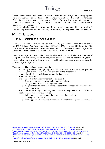The employers have to train their employees on their rights and obligations in an appropriate manner to guarantee safe working conditions under the local law and international standards. Child labour is a zero tolerance case and the TriStyle Group will work with affected parties and may work with external organizations to clarify and initiate remediation actions if a child labour case is identified.

TriStyle

Regular monitoring and the evaluation of the on-site situations will help to identify appropriate procedures and the necessary responsibility for the prevention of child labour.

#### <span id="page-3-1"></span><span id="page-3-0"></span>IV. Child Labour

#### IV1. Definition of Child Labour

The ILO Convention "Minimum Age Convention, 1973, (No. 138)" <sup>5</sup> and the ILO Convention No 146 "Minimum Age Recommendation, 1973, (No. 146)"<sup>6</sup> and the ILO Convention 182 "Worst Forms of Child Labour Convention, 1999, (No. 182)"<sup>7</sup> define the minimum age for the admission to employment or work and any inacceptable labour abuse.

The minimum age of a person who is employed or work must not be less than the age of completion of compulsory schooling and, in any case or shall not be less than 15 years. If the employment or work is likely to harm the health, safety or morals of young persons, the minimum age is 18 years. 8

Therefore child labour is defined as work that

- is done by a person who is younger than 15 years old (or someone who is younger than 14 years old in countries that set that age as the threshold). 9
- is mentally, physically, socially and/or morally dangerous.
- **E** is harmful to children.
- **EXEDER** interferes with children regular schooling because it:
	- o Deprives them of the opportunity to attend school
	- o Obliges them to leave school prematurely
	- o Requires them to attempt to combine school attendance with excessively long and heavy work
- is not considered as "light work". Light work refers to the participation of children or adolescents in work activities such as:
	- o helping their parents around the home (including farming).
	- o assisting in a family business.
	- $\circ$  earning pocket money outside school hours and/or during school holidays.  $^{10}$

1

<sup>5</sup> [https://www.ilo.org/dyn/normlex/en/f?p=NORMLEXPUB:12100:0::NO::P12100\\_ILO\\_CODE:C138](https://www.ilo.org/dyn/normlex/en/f?p=NORMLEXPUB:12100:0::NO::P12100_ILO_CODE:C138) , March 2020

<sup>6</sup> [https://www.ilo.org/dyn/normlex/en/f?p=NORMLEXPUB:12100:0::NO::P12100\\_ILO\\_CODE:R146](https://www.ilo.org/dyn/normlex/en/f?p=NORMLEXPUB:12100:0::NO::P12100_ILO_CODE:R146) , March 2020

<sup>7</sup> [https://www.ilo.org/dyn/normlex/en/f?p=NORMLEXPUB:12100:0::NO:12100:P12100\\_ILO\\_CODE:C182](https://www.ilo.org/dyn/normlex/en/f?p=NORMLEXPUB:12100:0::NO:12100:P12100_ILO_CODE:C182) , March 2020

<sup>8</sup> [https://www.ilo.org/dyn/normlex/en/f?p=NORMLEXPUB:12100:0::NO::P12100\\_ILO\\_CODE:C138,](https://www.ilo.org/dyn/normlex/en/f?p=NORMLEXPUB:12100:0::NO::P12100_ILO_CODE:C138) March 2020

<sup>9</sup> [https://www.ilo.org/wcmsp5/groups/public/---ed\\_norm/---normes/documents/normativeinstrument/wcms\\_c138\\_de.htm](https://www.ilo.org/wcmsp5/groups/public/---ed_norm/---normes/documents/normativeinstrument/wcms_c138_de.htm) , March 2020

<sup>10</sup> [https://www.ilo.org/ipec/Informationresources/WCMS\\_IPEC\\_PUB\\_30215/lang--en/index.htm,](https://www.ilo.org/ipec/Informationresources/WCMS_IPEC_PUB_30215/lang--en/index.htm) March 2020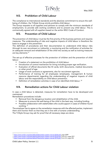TriStyle

#### <span id="page-4-0"></span>IV2. Prohibition of Child Labour

The compliance to international standards and the absolute commitment to ensure the wellbeing of children, the TriStyle Group strictly prohibits child labour.

The Group requests to all suppliers and partners to comply with the minimum standards of employment, to provide safe working conditions and to prevent any child labour. This is contractually agreed with all suppliers based on the amfori BSCI Code of Conduct.

#### <span id="page-4-1"></span>IV3. Prevention of Child Labour

The prevention of child labour must be the first priority of the business partners and requires measures. The understanding of risks and negative impacts of child labour is therefore the basis to engage in this prevention.

The definition of procedures and their documentation to understand child labour risks (through its own recruitment or indirectly), a monitoring and the notification of activities for an adequate removal and rehabilitation of the child into society as well as training measures are key elements.<sup>11</sup>

The set-up of effective processes for the protection of children and the prevention of child labour:

- Creation of a statement on the prohibition of child labour.
- **Introduction of control mechanism for hiring including proper age verification.**
- Evaluation of official documents like ID cards, birth documents, medical documents or other proof of age.
- **Usage of work contracts or agreements, also for recruitment agencies.**
- Performance of training for all employees (employees, management & human resource departments) regarding the understanding of negative impacts of child labour and the responsibility on child labour prevention.
- Definition of remediation activities in case of an identified child labour.<sup>12</sup>

#### <span id="page-4-2"></span>IV4. Remediation actions for Child Labour violation

In case a child labour is detected, measures for remediation have to be developed and maintained.

Remediation procedures include:

- Removal from the dangerous location and rehabilitation of the child.
- Measures to ensure the well-being of the child in the best way, including funding.
- **Possible collaboration with stakeholders who could support in cases of children found** working.<sup>13</sup>

The employer has to agree on the remediation measures with the affected parties, implement them and monitor them so that they are in line with a humane understanding.

The TriStyle Group may ask for proof that all necessary steps are done.

1

<sup>11</sup> [https://www.amfori.org/sites/default/files/amfori-system-manual-2018.pdf,](https://www.amfori.org/sites/default/files/amfori-system-manual-2018.pdf) page 200ff

<sup>&</sup>lt;sup>12</sup> <u>[https://www.amfori.org/sites/default/files/amfori-system-manual-2018.pdf,](https://www.amfori.org/sites/default/files/amfori-system-manual-2018.pdf)</u> Point 8.3, page 201f

<sup>13</sup> [https://www.amfori.org/sites/default/files/amfori-system-manual-2018.pdf,](https://www.amfori.org/sites/default/files/amfori-system-manual-2018.pdf) Point 8.4, page 202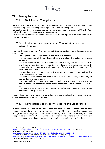#### <span id="page-5-1"></span><span id="page-5-0"></span>VI. Young Labour

#### VI1. Definition of Young Labour

Based on the ILO conventions<sup>14</sup> young labourers are young persons that are in employment after the compulsory schooling of the age of 15 and under the age of 18.

ILO studies from 2017 nowadays, also define young labourers from the age of 15 to 24<sup>15</sup> and their work has to be in compliance with national laws.

For these young persons employed, special rules for the type and the conditions of the employment apply.

#### <span id="page-5-2"></span>VI2. Protection and prevention of Young Labourers from abusive labour

The ILO Recommendation R146 defines activities to protect young labourers during employment:

- The registration of young workers at the relevant authorities.
- The risk assessment of the conditions of work to evaluate the suitability for young labourers.
- The strict limitation of the hours spent at work in a day and in a week, and the prohibition of overtime. So that the time for education and training (including the time needed for homework related thereto) and for the rest during the day and for leisure activities is given.
- The granting of a minimum consecutive period of 12 hours' night rest, and of customary weekly rest days.
- The granting of an annual paid holiday of at least four weeks and, in any case, not shorter than granted to adults.
- **The coverage by social security schemes, including employment injury, medical care** and sickness benefit schemes, whatever the conditions of employment or work may be.
- The maintenance of satisfactory standards of safety and health and appropriate instruction and supervision. 16

The employer has to ensure that the procedures are maintained and documented to protect young labourers from any abusive work.

#### <span id="page-5-3"></span>VI3. Remediation actions for violated Young Labour rules

In case a violation of the Young Labour rules, the employer shall remediate the situation immediately and document it for future reference. In addition, the responsible management shall guarantee the registration, the health, the safety instructions, the working hours and rest periods, the compensation including social insurance and benefits and must ensure that all supervisors are trained and engaged in the ongoing prevention of any violations.

https://www.ilo.org/dyn/normlex/en<u>/f?p=NORMLEXPUB:12100:0::NO::P12100\_ILO\_CODE:R146</u> 15 Guide to International Labour Standards and Rights at Work concerning Young People, p 25

<sup>&</sup>lt;u>.</u> <sup>14</sup> Minimum Age Convention, 1973 (No. 138)

[https://www.ilo.org/dyn/normlex/en/f?p=NORMLEXPUB:12100:0::NO::P12100\\_ILO\\_CODE:C138](https://www.ilo.org/dyn/normlex/en/f?p=NORMLEXPUB:12100:0::NO::P12100_ILO_CODE:C138) & Minimum Age Recommendation, 1973 (No. 146)

[https://www.ilo.org/global/standards/information-resources-and-publications/publications/WCMS\\_613959/lang--en/index.htm](https://www.ilo.org/global/standards/information-resources-and-publications/publications/WCMS_613959/lang--en/index.htm) <sup>16</sup> Minimum Age Recommendation, 1973 (No. 146)